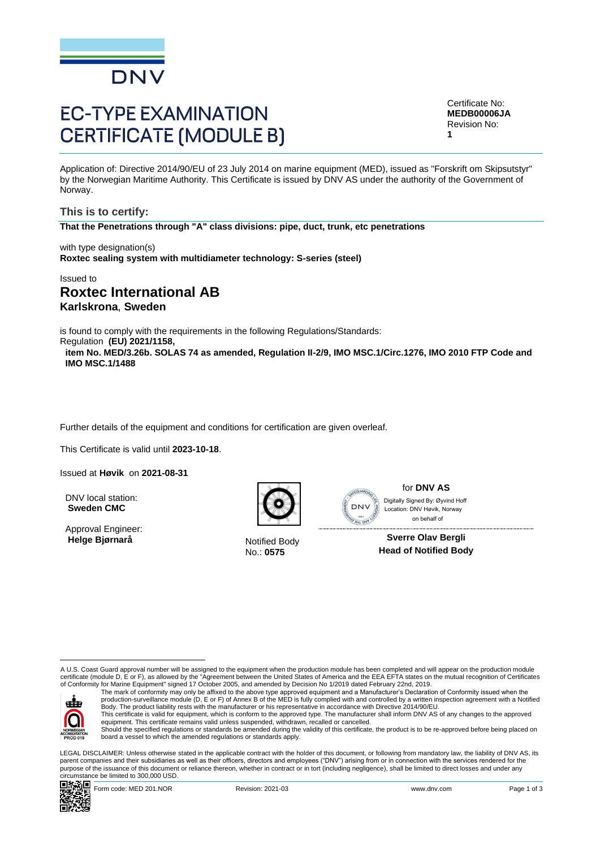

# **EC-TYPE EXAMINATION CERTIFICATE (MODULE B)**

Certificate No: **MEDB00006JA** Revision No: **1**

Application of: Directive 2014/90/EU of 23 July 2014 on marine equipment (MED), issued as "Forskrift om Skipsutstyr" by the Norwegian Maritime Authority. This Certificate is issued by DNV AS under the authority of the Government of Norway.

**This is to certify: That the Penetrations through "A" class divisions: pipe, duct, trunk, etc penetrations**

with type designation(s) **Roxtec sealing system with multidiameter technology: S-series (steel)**

Issued to

# **Roxtec International AB Karlskrona**, **Sweden**

is found to comply with the requirements in the following Regulations/Standards:

Regulation **(EU) 2021/1158, item No. MED/3.26b. SOLAS 74 as amended, Regulation II-2/9, IMO MSC.1/Circ.1276, IMO 2010 FTP Code and IMO MSC.1/1488**

Further details of the equipment and conditions for certification are given overleaf.

This Certificate is valid until **2023-10-18**.

Issued at **Høvik** on **2021-08-31**

DNV local station: **Sweden CMC**

Approval Engineer: **Helge Bjørnarå** Notified Body



No.: **0575**



for **DNV AS** Ï Digitally Signed By: Øyvind Hoff Location: DNV Høvik, Norway on behalf of

**Sverre Olav Bergli Head of Notified Body**

A U.S. Coast Guard approval number will be assigned to the equipment when the production module has been completed and will appear on the production module certificate (module D, E or F), as allowed by the "Agreement between the United States of America and the EEA EFTA states on the mutual recognition of Certificates<br>of Conformity for Marine Equipment" signed 17 October 2005



The mark of conformity may only be affixed to the above type approved equipment and a Manufacturer's Declaration of Conformity issued when the<br>production-surveillance module (D, E or F) of Annex B of the MED is fully compl Body. The product liability rests with the manufacturer or his representative in accordance with Directive 2014/90/EU. This certificate is valid for equipment, which is conform to the approved type. The manufacturer shall inform DNV AS of any changes to the approved<br>equipment. This certificate remains valid unless suspended, withdrawn, rec

Should the specified regulations or standards be amended during the validity of this certificate, the product is to be re-approved before being placed on board a vessel to which the amended regulations or standards apply.

LEGAL DISCLAIMER: Unless otherwise stated in the applicable contract with the holder of this document, or following from mandatory law, the liability of DNV AS, its parent companies and their subsidiaries as well as their officers, directors and employees ("DNV") arising from or in connection with the services rendered for the purpose of the issuance of this document or reliance thereon, whether in contract or in tort (including negligence), shall be limited to direct losses and under any circumstance be limited to 300,000 USD.

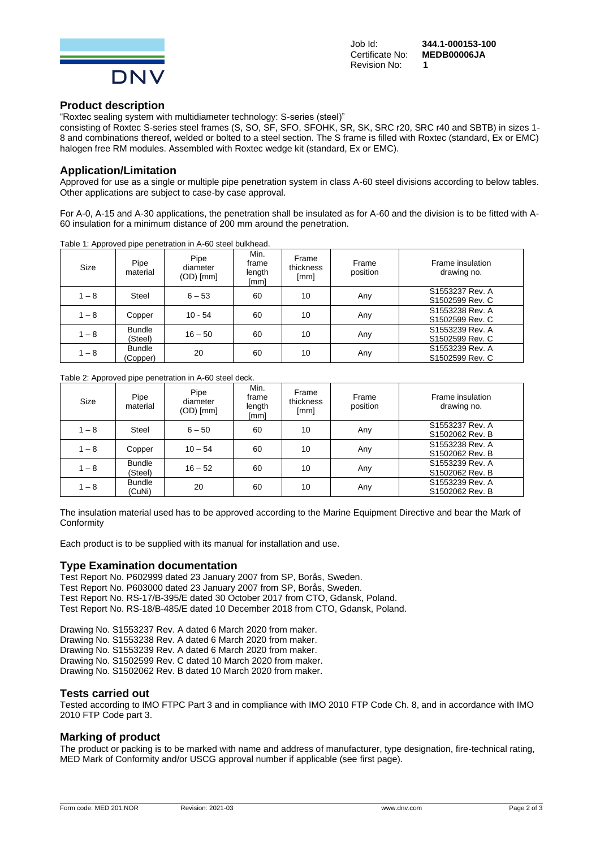

Revision No: **1**

Job Id: **344.1-000153-100** Certificate No: **MEDB00006JA**

#### **Product description**

"Roxtec sealing system with multidiameter technology: S-series (steel)"

consisting of Roxtec S-series steel frames (S, SO, SF, SFO, SFOHK, SR, SK, SRC r20, SRC r40 and SBTB) in sizes 1- 8 and combinations thereof, welded or bolted to a steel section. The S frame is filled with Roxtec (standard, Ex or EMC) halogen free RM modules. Assembled with Roxtec wedge kit (standard, Ex or EMC).

#### **Application/Limitation**

Approved for use as a single or multiple pipe penetration system in class A-60 steel divisions according to below tables. Other applications are subject to case-by case approval.

For A-0, A-15 and A-30 applications, the penetration shall be insulated as for A-60 and the division is to be fitted with A-60 insulation for a minimum distance of 200 mm around the penetration.

| Size    | Pipe<br>material          | Pipe<br>diameter<br>$(OD)$ [mm] | Min.<br>frame<br>length<br>[mm] | Frame<br>thickness<br>[mm] | Frame<br>position | Frame insulation<br>drawing no.    |
|---------|---------------------------|---------------------------------|---------------------------------|----------------------------|-------------------|------------------------------------|
| $1 - 8$ | <b>Steel</b>              | $6 - 53$                        | 60                              | 10                         | Any               | S1553237 Rev. A<br>S1502599 Rev. C |
| $1 - 8$ | Copper                    | $10 - 54$                       | 60                              | 10                         | Any               | S1553238 Rev. A<br>S1502599 Rev. C |
| $1 - 8$ | <b>Bundle</b><br>(Steel)  | $16 - 50$                       | 60                              | 10                         | Any               | S1553239 Rev. A<br>S1502599 Rev. C |
| $1 - 8$ | <b>Bundle</b><br>(Copper) | 20                              | 60                              | 10                         | Any               | S1553239 Rev. A<br>S1502599 Rev. C |

Table 1: Approved pipe penetration in A-60 steel bulkhead.

#### Table 2: Approved pipe penetration in A-60 steel deck.

| the contract of<br>Size | .<br>Pipe<br>material    | Pipe<br>diameter<br>$(OD)$ [mm] | Min.<br>frame<br>length<br>[mm] | Frame<br>thickness<br>[mm] | Frame<br>position | Frame insulation<br>drawing no.    |
|-------------------------|--------------------------|---------------------------------|---------------------------------|----------------------------|-------------------|------------------------------------|
| $1 - 8$                 | Steel                    | $6 - 50$                        | 60                              | 10                         | Any               | S1553237 Rev. A<br>S1502062 Rev. B |
| $1 - 8$                 | Copper                   | $10 - 54$                       | 60                              | 10                         | Any               | S1553238 Rev. A<br>S1502062 Rev. B |
| $1 - 8$                 | <b>Bundle</b><br>(Steel) | $16 - 52$                       | 60                              | 10                         | Any               | S1553239 Rev. A<br>S1502062 Rev. B |
| $1 - 8$                 | <b>Bundle</b><br>(CuNi)  | 20                              | 60                              | 10                         | Any               | S1553239 Rev. A<br>S1502062 Rev. B |

The insulation material used has to be approved according to the Marine Equipment Directive and bear the Mark of **Conformity** 

Each product is to be supplied with its manual for installation and use.

#### **Type Examination documentation**

Test Report No. P602999 dated 23 January 2007 from SP, Borås, Sweden. Test Report No. P603000 dated 23 January 2007 from SP, Borås, Sweden. Test Report No. RS-17/B-395/E dated 30 October 2017 from CTO, Gdansk, Poland. Test Report No. RS-18/B-485/E dated 10 December 2018 from CTO, Gdansk, Poland.

Drawing No. S1553237 Rev. A dated 6 March 2020 from maker. Drawing No. S1553238 Rev. A dated 6 March 2020 from maker. Drawing No. S1553239 Rev. A dated 6 March 2020 from maker. Drawing No. S1502599 Rev. C dated 10 March 2020 from maker. Drawing No. S1502062 Rev. B dated 10 March 2020 from maker.

#### **Tests carried out**

Tested according to IMO FTPC Part 3 and in compliance with IMO 2010 FTP Code Ch. 8, and in accordance with IMO 2010 FTP Code part 3.

#### **Marking of product**

The product or packing is to be marked with name and address of manufacturer, type designation, fire-technical rating, MED Mark of Conformity and/or USCG approval number if applicable (see first page).